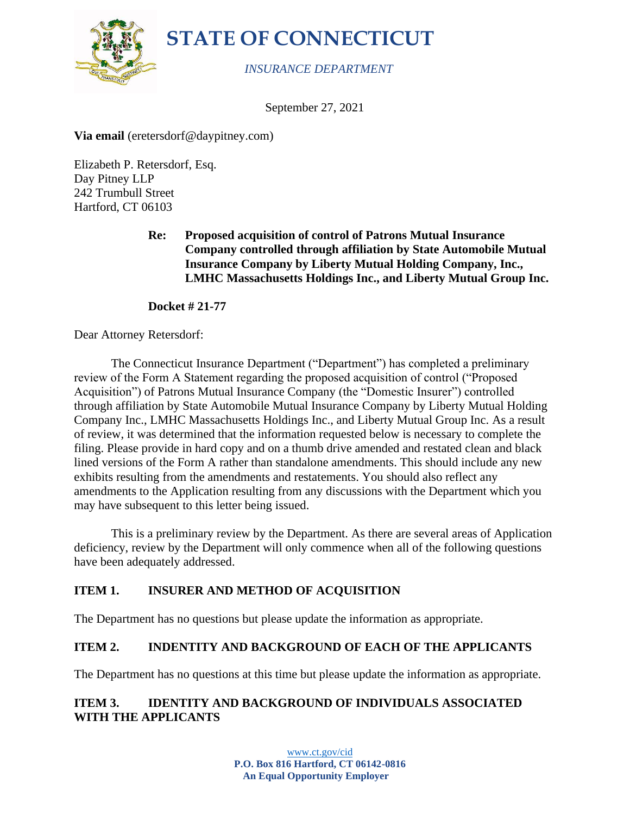



#### *INSURANCE DEPARTMENT*

September 27, 2021

**Via email** (eretersdorf@daypitney.com)

Elizabeth P. Retersdorf, Esq. Day Pitney LLP 242 Trumbull Street Hartford, CT 06103

> **Re: Proposed acquisition of control of Patrons Mutual Insurance Company controlled through affiliation by State Automobile Mutual Insurance Company by Liberty Mutual Holding Company, Inc., LMHC Massachusetts Holdings Inc., and Liberty Mutual Group Inc.**

**Docket # 21-77**

Dear Attorney Retersdorf:

The Connecticut Insurance Department ("Department") has completed a preliminary review of the Form A Statement regarding the proposed acquisition of control ("Proposed Acquisition") of Patrons Mutual Insurance Company (the "Domestic Insurer") controlled through affiliation by State Automobile Mutual Insurance Company by Liberty Mutual Holding Company Inc., LMHC Massachusetts Holdings Inc., and Liberty Mutual Group Inc. As a result of review, it was determined that the information requested below is necessary to complete the filing. Please provide in hard copy and on a thumb drive amended and restated clean and black lined versions of the Form A rather than standalone amendments. This should include any new exhibits resulting from the amendments and restatements. You should also reflect any amendments to the Application resulting from any discussions with the Department which you may have subsequent to this letter being issued.

This is a preliminary review by the Department. As there are several areas of Application deficiency, review by the Department will only commence when all of the following questions have been adequately addressed.

### **ITEM 1. INSURER AND METHOD OF ACQUISITION**

The Department has no questions but please update the information as appropriate.

# **ITEM 2. INDENTITY AND BACKGROUND OF EACH OF THE APPLICANTS**

The Department has no questions at this time but please update the information as appropriate.

### **ITEM 3. IDENTITY AND BACKGROUND OF INDIVIDUALS ASSOCIATED WITH THE APPLICANTS**

[www.ct.gov/cid](http://www.ct.gov/cid) **P.O. Box 816 Hartford, CT 06142-0816 An Equal Opportunity Employer**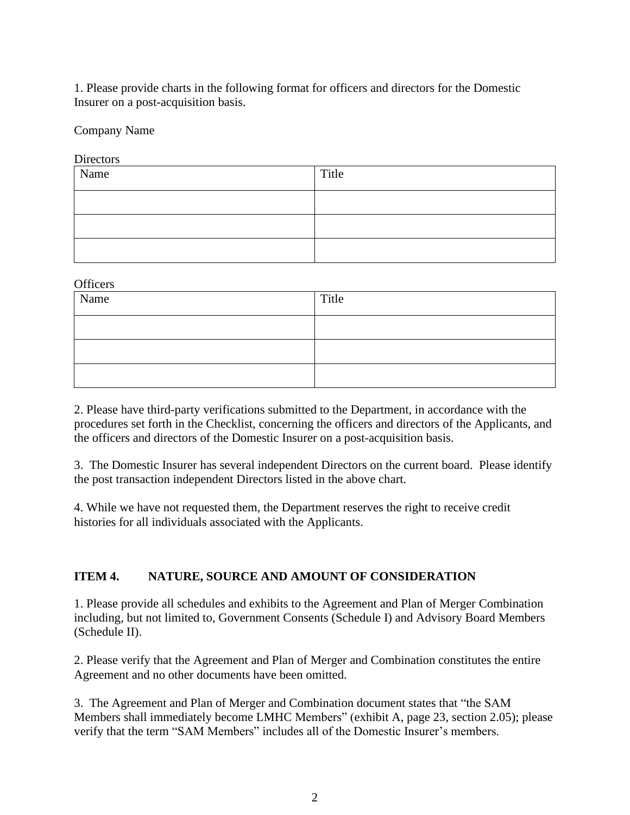1. Please provide charts in the following format for officers and directors for the Domestic Insurer on a post-acquisition basis.

Company Name

**Directors** 

| Name | Title |
|------|-------|
|      |       |
|      |       |
|      |       |

**Officers** 

| Name | Title |
|------|-------|
|      |       |
|      |       |
|      |       |

2. Please have third-party verifications submitted to the Department, in accordance with the procedures set forth in the Checklist, concerning the officers and directors of the Applicants, and the officers and directors of the Domestic Insurer on a post-acquisition basis.

3. The Domestic Insurer has several independent Directors on the current board. Please identify the post transaction independent Directors listed in the above chart.

4. While we have not requested them, the Department reserves the right to receive credit histories for all individuals associated with the Applicants.

### **ITEM 4. NATURE, SOURCE AND AMOUNT OF CONSIDERATION**

1. Please provide all schedules and exhibits to the Agreement and Plan of Merger Combination including, but not limited to, Government Consents (Schedule I) and Advisory Board Members (Schedule II).

2. Please verify that the Agreement and Plan of Merger and Combination constitutes the entire Agreement and no other documents have been omitted.

3. The Agreement and Plan of Merger and Combination document states that "the SAM Members shall immediately become LMHC Members" (exhibit A, page 23, section 2.05); please verify that the term "SAM Members" includes all of the Domestic Insurer's members.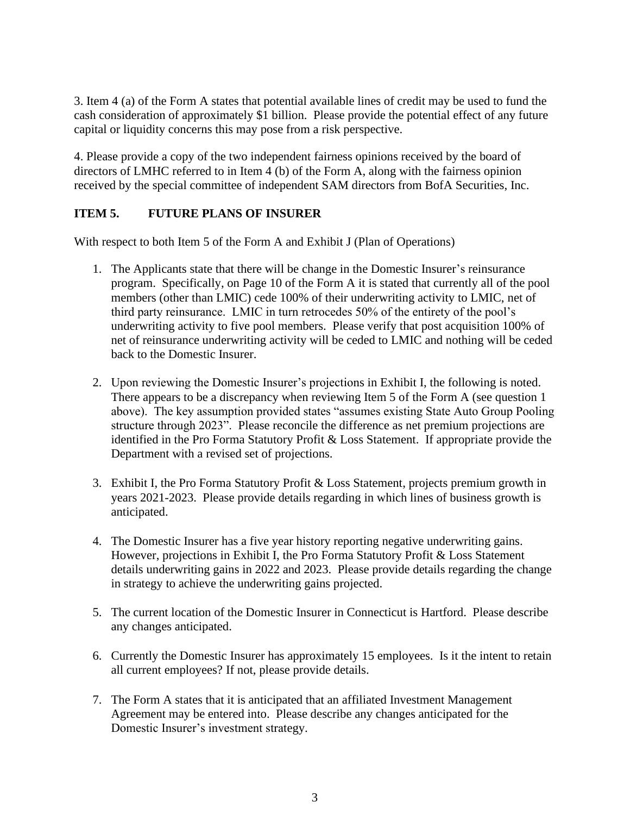3. Item 4 (a) of the Form A states that potential available lines of credit may be used to fund the cash consideration of approximately \$1 billion. Please provide the potential effect of any future capital or liquidity concerns this may pose from a risk perspective.

4. Please provide a copy of the two independent fairness opinions received by the board of directors of LMHC referred to in Item 4 (b) of the Form A, along with the fairness opinion received by the special committee of independent SAM directors from BofA Securities, Inc.

### **ITEM 5. FUTURE PLANS OF INSURER**

With respect to both Item 5 of the Form A and Exhibit J (Plan of Operations)

- 1. The Applicants state that there will be change in the Domestic Insurer's reinsurance program. Specifically, on Page 10 of the Form A it is stated that currently all of the pool members (other than LMIC) cede 100% of their underwriting activity to LMIC, net of third party reinsurance. LMIC in turn retrocedes 50% of the entirety of the pool's underwriting activity to five pool members. Please verify that post acquisition 100% of net of reinsurance underwriting activity will be ceded to LMIC and nothing will be ceded back to the Domestic Insurer.
- 2. Upon reviewing the Domestic Insurer's projections in Exhibit I, the following is noted. There appears to be a discrepancy when reviewing Item 5 of the Form A (see question 1 above). The key assumption provided states "assumes existing State Auto Group Pooling structure through 2023". Please reconcile the difference as net premium projections are identified in the Pro Forma Statutory Profit & Loss Statement. If appropriate provide the Department with a revised set of projections.
- 3. Exhibit I, the Pro Forma Statutory Profit & Loss Statement, projects premium growth in years 2021-2023. Please provide details regarding in which lines of business growth is anticipated.
- 4. The Domestic Insurer has a five year history reporting negative underwriting gains. However, projections in Exhibit I, the Pro Forma Statutory Profit & Loss Statement details underwriting gains in 2022 and 2023. Please provide details regarding the change in strategy to achieve the underwriting gains projected.
- 5. The current location of the Domestic Insurer in Connecticut is Hartford. Please describe any changes anticipated.
- 6. Currently the Domestic Insurer has approximately 15 employees. Is it the intent to retain all current employees? If not, please provide details.
- 7. The Form A states that it is anticipated that an affiliated Investment Management Agreement may be entered into. Please describe any changes anticipated for the Domestic Insurer's investment strategy.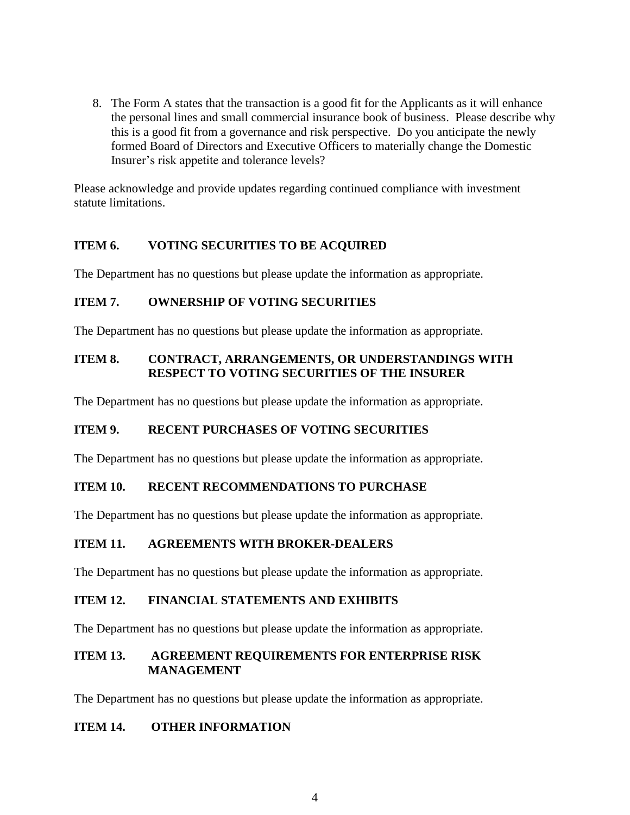8. The Form A states that the transaction is a good fit for the Applicants as it will enhance the personal lines and small commercial insurance book of business. Please describe why this is a good fit from a governance and risk perspective. Do you anticipate the newly formed Board of Directors and Executive Officers to materially change the Domestic Insurer's risk appetite and tolerance levels?

Please acknowledge and provide updates regarding continued compliance with investment statute limitations.

### **ITEM 6. VOTING SECURITIES TO BE ACQUIRED**

The Department has no questions but please update the information as appropriate.

### **ITEM 7. OWNERSHIP OF VOTING SECURITIES**

The Department has no questions but please update the information as appropriate.

## **ITEM 8. CONTRACT, ARRANGEMENTS, OR UNDERSTANDINGS WITH RESPECT TO VOTING SECURITIES OF THE INSURER**

The Department has no questions but please update the information as appropriate.

### **ITEM 9. RECENT PURCHASES OF VOTING SECURITIES**

The Department has no questions but please update the information as appropriate.

### **ITEM 10. RECENT RECOMMENDATIONS TO PURCHASE**

The Department has no questions but please update the information as appropriate.

### **ITEM 11. AGREEMENTS WITH BROKER-DEALERS**

The Department has no questions but please update the information as appropriate.

### **ITEM 12. FINANCIAL STATEMENTS AND EXHIBITS**

The Department has no questions but please update the information as appropriate.

## **ITEM 13. AGREEMENT REQUIREMENTS FOR ENTERPRISE RISK MANAGEMENT**

The Department has no questions but please update the information as appropriate.

### **ITEM 14. OTHER INFORMATION**